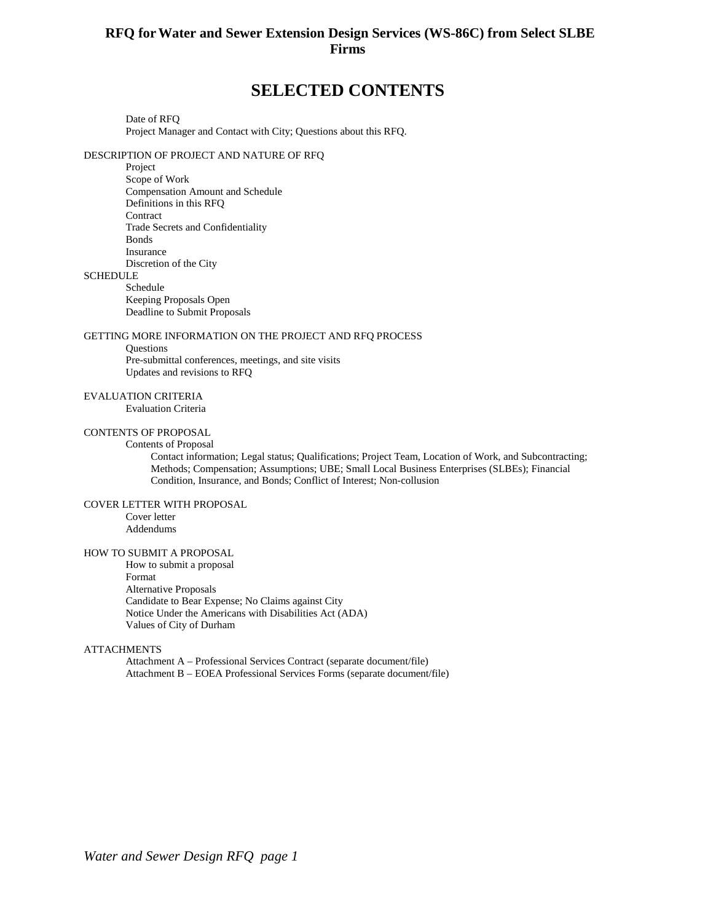## **RFQ forWater and Sewer Extension Design Services (WS-86C) from Select SLBE Firms**

# **SELECTED CONTENTS**

Date of RFQ Project Manager and Contact with City; Questions about this RFQ.

#### DESCRIPTION OF PROJECT AND NATURE OF RFQ

Project Scope of Work Compensation Amount and Schedule Definitions in this RFQ **Contract** Trade Secrets and Confidentiality Bonds Insurance Discretion of the City

#### **SCHEDULE**

Schedule Keeping Proposals Open Deadline to Submit Proposals

#### GETTING MORE INFORMATION ON THE PROJECT AND RFQ PROCESS

**Ouestions** 

Pre-submittal conferences, meetings, and site visits Updates and revisions to RFQ

#### EVALUATION CRITERIA

Evaluation Criteria

### CONTENTS OF PROPOSAL

#### Contents of Proposal

Contact information; Legal status; Qualifications; Project Team, Location of Work, and Subcontracting; Methods; Compensation; Assumptions; UBE; Small Local Business Enterprises (SLBEs); Financial Condition, Insurance, and Bonds; Conflict of Interest; Non-collusion

#### COVER LETTER WITH PROPOSAL

Cover letter Addendums

#### HOW TO SUBMIT A PROPOSAL

How to submit a proposal Format Alternative Proposals Candidate to Bear Expense; No Claims against City Notice Under the Americans with Disabilities Act (ADA) Values of City of Durham

#### **ATTACHMENTS**

Attachment A – Professional Services Contract (separate document/file) Attachment B – EOEA Professional Services Forms (separate document/file)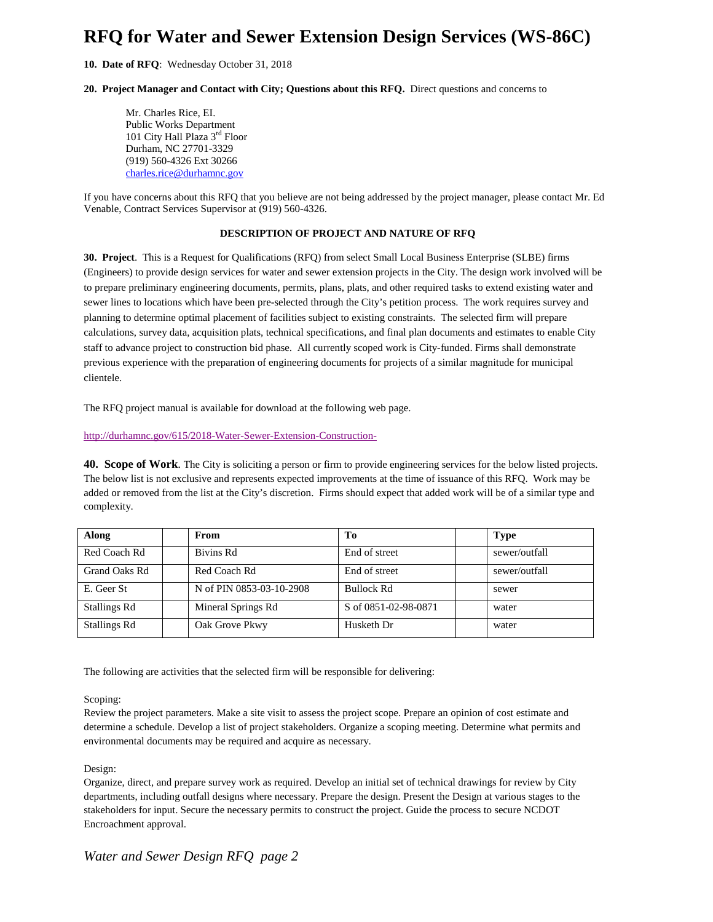# **RFQ for Water and Sewer Extension Design Services (WS-86C)**

**10. Date of RFQ**: Wednesday October 31, 2018

#### **20. Project Manager and Contact with City; Questions about this RFQ.** Direct questions and concerns to

Mr. Charles Rice, EI. Public Works Department 101 City Hall Plaza 3rd Floor Durham, NC 27701-3329 (919) 560-4326 Ext 30266 [charles.rice@durhamnc.gov](mailto:charles.rice@durhamnc.gov)

If you have concerns about this RFQ that you believe are not being addressed by the project manager, please contact Mr. Ed Venable, Contract Services Supervisor at (919) 560-4326.

#### **DESCRIPTION OF PROJECT AND NATURE OF RFQ**

**30. Project**. This is a Request for Qualifications (RFQ) from select Small Local Business Enterprise (SLBE) firms (Engineers) to provide design services for water and sewer extension projects in the City. The design work involved will be to prepare preliminary engineering documents, permits, plans, plats, and other required tasks to extend existing water and sewer lines to locations which have been pre-selected through the City's petition process. The work requires survey and planning to determine optimal placement of facilities subject to existing constraints. The selected firm will prepare calculations, survey data, acquisition plats, technical specifications, and final plan documents and estimates to enable City staff to advance project to construction bid phase. All currently scoped work is City-funded. Firms shall demonstrate previous experience with the preparation of engineering documents for projects of a similar magnitude for municipal clientele.

The RFQ project manual is available for download at the following web page.

<http://durhamnc.gov/615/2018-Water-Sewer-Extension-Construction->

**40. Scope of Work**. The City is soliciting a person or firm to provide engineering services for the below listed projects. The below list is not exclusive and represents expected improvements at the time of issuance of this RFQ. Work may be added or removed from the list at the City's discretion. Firms should expect that added work will be of a similar type and complexity.

| Along               | From                     | Tо                   | <b>Type</b>   |
|---------------------|--------------------------|----------------------|---------------|
| Red Coach Rd        | Bivins Rd                | End of street        | sewer/outfall |
| Grand Oaks Rd       | Red Coach Rd             | End of street        | sewer/outfall |
| E. Geer St          | N of PIN 0853-03-10-2908 | <b>Bullock Rd</b>    | sewer         |
| Stallings Rd        | Mineral Springs Rd       | S of 0851-02-98-0871 | water         |
| <b>Stallings Rd</b> | Oak Grove Pkwy           | Husketh Dr           | water         |

The following are activities that the selected firm will be responsible for delivering:

#### Scoping:

Review the project parameters. Make a site visit to assess the project scope. Prepare an opinion of cost estimate and determine a schedule. Develop a list of project stakeholders. Organize a scoping meeting. Determine what permits and environmental documents may be required and acquire as necessary.

#### Design:

Organize, direct, and prepare survey work as required. Develop an initial set of technical drawings for review by City departments, including outfall designs where necessary. Prepare the design. Present the Design at various stages to the stakeholders for input. Secure the necessary permits to construct the project. Guide the process to secure NCDOT Encroachment approval.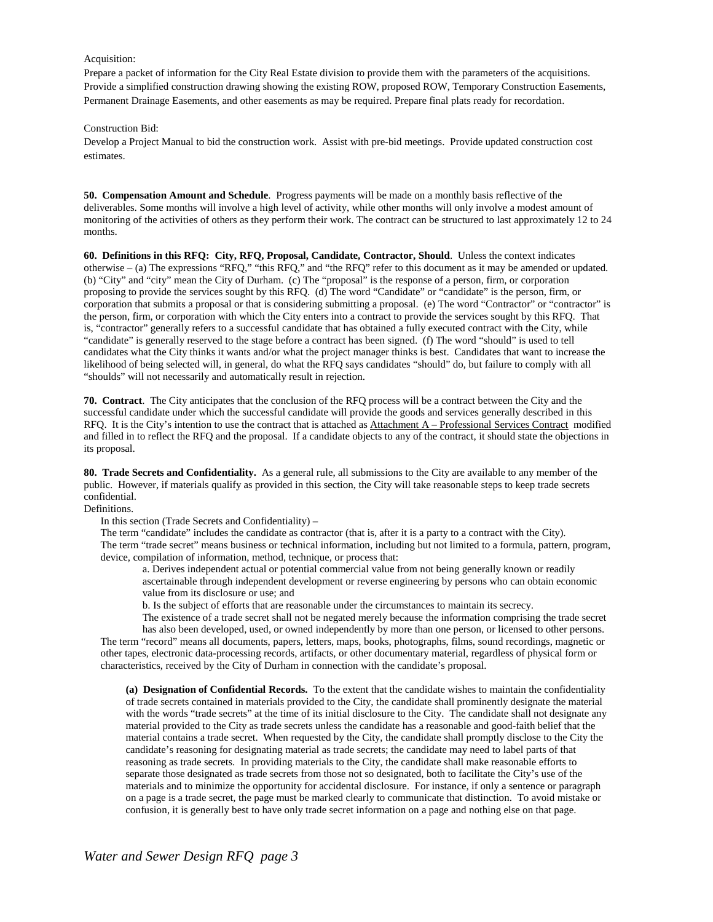#### Acquisition:

Prepare a packet of information for the City Real Estate division to provide them with the parameters of the acquisitions. Provide a simplified construction drawing showing the existing ROW, proposed ROW, Temporary Construction Easements, Permanent Drainage Easements, and other easements as may be required. Prepare final plats ready for recordation.

#### Construction Bid:

Develop a Project Manual to bid the construction work. Assist with pre-bid meetings. Provide updated construction cost estimates.

**50. Compensation Amount and Schedule**. Progress payments will be made on a monthly basis reflective of the deliverables. Some months will involve a high level of activity, while other months will only involve a modest amount of monitoring of the activities of others as they perform their work. The contract can be structured to last approximately 12 to 24 months.

**60. Definitions in this RFQ: City, RFQ, Proposal, Candidate, Contractor, Should**. Unless the context indicates otherwise – (a) The expressions "RFQ," "this RFQ," and "the RFQ" refer to this document as it may be amended or updated. (b) "City" and "city" mean the City of Durham. (c) The "proposal" is the response of a person, firm, or corporation proposing to provide the services sought by this RFQ. (d) The word "Candidate" or "candidate" is the person, firm, or corporation that submits a proposal or that is considering submitting a proposal. (e) The word "Contractor" or "contractor" is the person, firm, or corporation with which the City enters into a contract to provide the services sought by this RFQ. That is, "contractor" generally refers to a successful candidate that has obtained a fully executed contract with the City, while "candidate" is generally reserved to the stage before a contract has been signed. (f) The word "should" is used to tell candidates what the City thinks it wants and/or what the project manager thinks is best. Candidates that want to increase the likelihood of being selected will, in general, do what the RFQ says candidates "should" do, but failure to comply with all "shoulds" will not necessarily and automatically result in rejection.

**70. Contract**. The City anticipates that the conclusion of the RFQ process will be a contract between the City and the successful candidate under which the successful candidate will provide the goods and services generally described in this RFQ. It is the City's intention to use the contract that is attached as Attachment A – Professional Services Contract modified and filled in to reflect the RFQ and the proposal. If a candidate objects to any of the contract, it should state the objections in its proposal.

**80. Trade Secrets and Confidentiality.** As a general rule, all submissions to the City are available to any member of the public. However, if materials qualify as provided in this section, the City will take reasonable steps to keep trade secrets confidential.

Definitions.

In this section (Trade Secrets and Confidentiality) –

The term "candidate" includes the candidate as contractor (that is, after it is a party to a contract with the City). The term "trade secret" means business or technical information, including but not limited to a formula, pattern, program, device, compilation of information, method, technique, or process that:

a. Derives independent actual or potential commercial value from not being generally known or readily ascertainable through independent development or reverse engineering by persons who can obtain economic value from its disclosure or use; and

b. Is the subject of efforts that are reasonable under the circumstances to maintain its secrecy.

The existence of a trade secret shall not be negated merely because the information comprising the trade secret

has also been developed, used, or owned independently by more than one person, or licensed to other persons. The term "record" means all documents, papers, letters, maps, books, photographs, films, sound recordings, magnetic or other tapes, electronic data-processing records, artifacts, or other documentary material, regardless of physical form or characteristics, received by the City of Durham in connection with the candidate's proposal.

**(a) Designation of Confidential Records.** To the extent that the candidate wishes to maintain the confidentiality of trade secrets contained in materials provided to the City, the candidate shall prominently designate the material with the words "trade secrets" at the time of its initial disclosure to the City. The candidate shall not designate any material provided to the City as trade secrets unless the candidate has a reasonable and good-faith belief that the material contains a trade secret. When requested by the City, the candidate shall promptly disclose to the City the candidate's reasoning for designating material as trade secrets; the candidate may need to label parts of that reasoning as trade secrets. In providing materials to the City, the candidate shall make reasonable efforts to separate those designated as trade secrets from those not so designated, both to facilitate the City's use of the materials and to minimize the opportunity for accidental disclosure. For instance, if only a sentence or paragraph on a page is a trade secret, the page must be marked clearly to communicate that distinction. To avoid mistake or confusion, it is generally best to have only trade secret information on a page and nothing else on that page.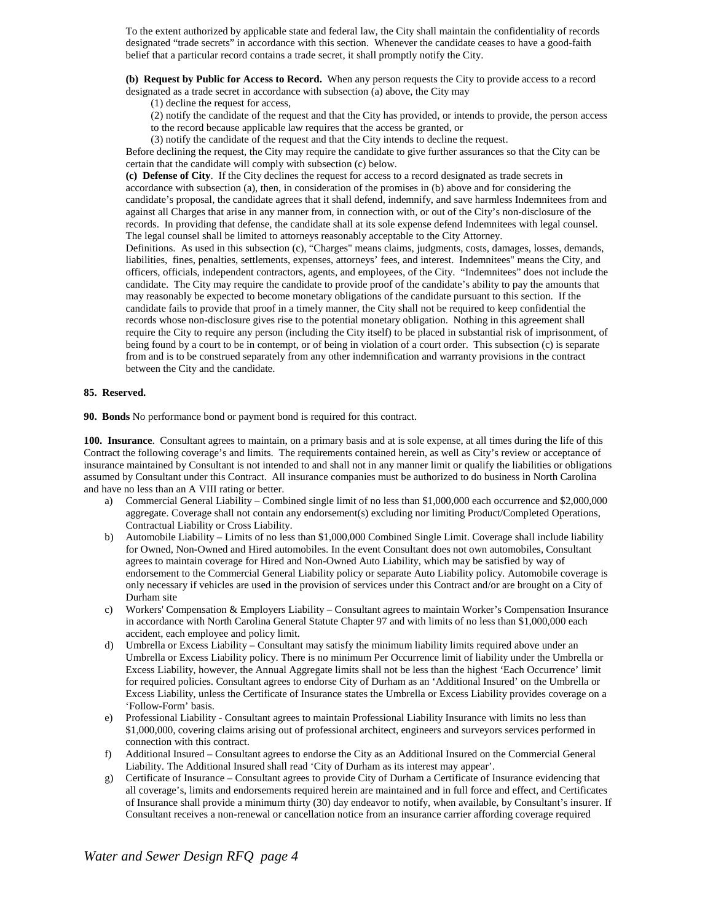To the extent authorized by applicable state and federal law, the City shall maintain the confidentiality of records designated "trade secrets" in accordance with this section. Whenever the candidate ceases to have a good-faith belief that a particular record contains a trade secret, it shall promptly notify the City.

**(b) Request by Public for Access to Record.** When any person requests the City to provide access to a record designated as a trade secret in accordance with subsection (a) above, the City may

(1) decline the request for access,

(2) notify the candidate of the request and that the City has provided, or intends to provide, the person access to the record because applicable law requires that the access be granted, or

(3) notify the candidate of the request and that the City intends to decline the request.

Before declining the request, the City may require the candidate to give further assurances so that the City can be certain that the candidate will comply with subsection (c) below.

**(c) Defense of City**. If the City declines the request for access to a record designated as trade secrets in accordance with subsection (a), then, in consideration of the promises in (b) above and for considering the candidate's proposal, the candidate agrees that it shall defend, indemnify, and save harmless Indemnitees from and against all Charges that arise in any manner from, in connection with, or out of the City's non-disclosure of the records. In providing that defense, the candidate shall at its sole expense defend Indemnitees with legal counsel. The legal counsel shall be limited to attorneys reasonably acceptable to the City Attorney.

Definitions. As used in this subsection (c), "Charges" means claims, judgments, costs, damages, losses, demands, liabilities, fines, penalties, settlements, expenses, attorneys' fees, and interest. Indemnitees" means the City, and officers, officials, independent contractors, agents, and employees, of the City. "Indemnitees" does not include the candidate. The City may require the candidate to provide proof of the candidate's ability to pay the amounts that may reasonably be expected to become monetary obligations of the candidate pursuant to this section. If the candidate fails to provide that proof in a timely manner, the City shall not be required to keep confidential the records whose non-disclosure gives rise to the potential monetary obligation. Nothing in this agreement shall require the City to require any person (including the City itself) to be placed in substantial risk of imprisonment, of being found by a court to be in contempt, or of being in violation of a court order. This subsection (c) is separate from and is to be construed separately from any other indemnification and warranty provisions in the contract between the City and the candidate.

#### **85. Reserved.**

**90. Bonds** No performance bond or payment bond is required for this contract.

**100. Insurance**. Consultant agrees to maintain, on a primary basis and at is sole expense, at all times during the life of this Contract the following coverage's and limits. The requirements contained herein, as well as City's review or acceptance of insurance maintained by Consultant is not intended to and shall not in any manner limit or qualify the liabilities or obligations assumed by Consultant under this Contract. All insurance companies must be authorized to do business in North Carolina and have no less than an A VIII rating or better.

- a) Commercial General Liability Combined single limit of no less than \$1,000,000 each occurrence and \$2,000,000 aggregate. Coverage shall not contain any endorsement(s) excluding nor limiting Product/Completed Operations, Contractual Liability or Cross Liability.
- b) Automobile Liability Limits of no less than \$1,000,000 Combined Single Limit. Coverage shall include liability for Owned, Non-Owned and Hired automobiles. In the event Consultant does not own automobiles, Consultant agrees to maintain coverage for Hired and Non-Owned Auto Liability, which may be satisfied by way of endorsement to the Commercial General Liability policy or separate Auto Liability policy. Automobile coverage is only necessary if vehicles are used in the provision of services under this Contract and/or are brought on a City of Durham site
- c) Workers' Compensation & Employers Liability Consultant agrees to maintain Worker's Compensation Insurance in accordance with North Carolina General Statute Chapter 97 and with limits of no less than \$1,000,000 each accident, each employee and policy limit.
- d) Umbrella or Excess Liability Consultant may satisfy the minimum liability limits required above under an Umbrella or Excess Liability policy. There is no minimum Per Occurrence limit of liability under the Umbrella or Excess Liability, however, the Annual Aggregate limits shall not be less than the highest 'Each Occurrence' limit for required policies. Consultant agrees to endorse City of Durham as an 'Additional Insured' on the Umbrella or Excess Liability, unless the Certificate of Insurance states the Umbrella or Excess Liability provides coverage on a 'Follow-Form' basis.
- e) Professional Liability Consultant agrees to maintain Professional Liability Insurance with limits no less than \$1,000,000, covering claims arising out of professional architect, engineers and surveyors services performed in connection with this contract.
- f) Additional Insured Consultant agrees to endorse the City as an Additional Insured on the Commercial General Liability. The Additional Insured shall read 'City of Durham as its interest may appear'.
- g) Certificate of Insurance Consultant agrees to provide City of Durham a Certificate of Insurance evidencing that all coverage's, limits and endorsements required herein are maintained and in full force and effect, and Certificates of Insurance shall provide a minimum thirty (30) day endeavor to notify, when available, by Consultant's insurer. If Consultant receives a non-renewal or cancellation notice from an insurance carrier affording coverage required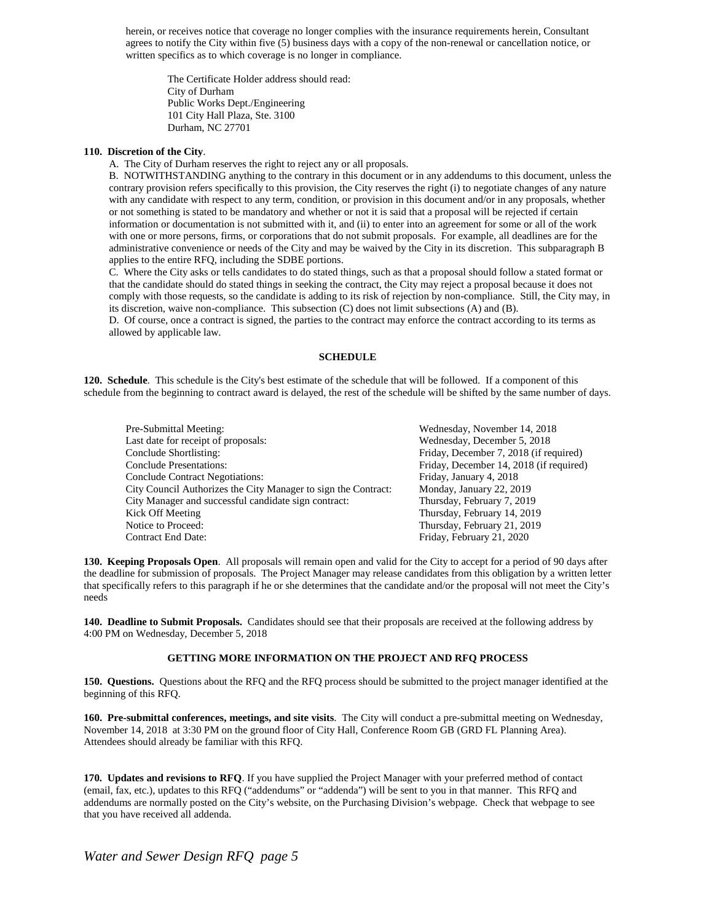herein, or receives notice that coverage no longer complies with the insurance requirements herein, Consultant agrees to notify the City within five (5) business days with a copy of the non-renewal or cancellation notice, or written specifics as to which coverage is no longer in compliance.

The Certificate Holder address should read: City of Durham Public Works Dept./Engineering 101 City Hall Plaza, Ste. 3100 Durham, NC 27701

#### **110. Discretion of the City**.

A. The City of Durham reserves the right to reject any or all proposals.

B. NOTWITHSTANDING anything to the contrary in this document or in any addendums to this document, unless the contrary provision refers specifically to this provision, the City reserves the right (i) to negotiate changes of any nature with any candidate with respect to any term, condition, or provision in this document and/or in any proposals, whether or not something is stated to be mandatory and whether or not it is said that a proposal will be rejected if certain information or documentation is not submitted with it, and (ii) to enter into an agreement for some or all of the work with one or more persons, firms, or corporations that do not submit proposals. For example, all deadlines are for the administrative convenience or needs of the City and may be waived by the City in its discretion. This subparagraph B applies to the entire RFQ, including the SDBE portions.

C. Where the City asks or tells candidates to do stated things, such as that a proposal should follow a stated format or that the candidate should do stated things in seeking the contract, the City may reject a proposal because it does not comply with those requests, so the candidate is adding to its risk of rejection by non-compliance. Still, the City may, in its discretion, waive non-compliance. This subsection (C) does not limit subsections (A) and (B).

D. Of course, once a contract is signed, the parties to the contract may enforce the contract according to its terms as allowed by applicable law.

#### **SCHEDULE**

**120. Schedule**. This schedule is the City's best estimate of the schedule that will be followed. If a component of this schedule from the beginning to contract award is delayed, the rest of the schedule will be shifted by the same number of days.

| Pre-Submittal Meeting:                                         | Wednesday, November 14, 2018            |
|----------------------------------------------------------------|-----------------------------------------|
|                                                                |                                         |
| Last date for receipt of proposals:                            | Wednesday, December 5, 2018             |
| Conclude Shortlisting:                                         | Friday, December 7, 2018 (if required)  |
| <b>Conclude Presentations:</b>                                 | Friday, December 14, 2018 (if required) |
| <b>Conclude Contract Negotiations:</b>                         | Friday, January 4, 2018                 |
| City Council Authorizes the City Manager to sign the Contract: | Monday, January 22, 2019                |
| City Manager and successful candidate sign contract:           | Thursday, February 7, 2019              |
| Kick Off Meeting                                               | Thursday, February 14, 2019             |
| Notice to Proceed:                                             | Thursday, February 21, 2019             |
| <b>Contract End Date:</b>                                      | Friday, February 21, 2020               |

**130. Keeping Proposals Open**. All proposals will remain open and valid for the City to accept for a period of 90 days after the deadline for submission of proposals. The Project Manager may release candidates from this obligation by a written letter that specifically refers to this paragraph if he or she determines that the candidate and/or the proposal will not meet the City's needs

**140. Deadline to Submit Proposals.** Candidates should see that their proposals are received at the following address by 4:00 PM on Wednesday, December 5, 2018

#### **GETTING MORE INFORMATION ON THE PROJECT AND RFQ PROCESS**

**150. Questions.** Questions about the RFQ and the RFQ process should be submitted to the project manager identified at the beginning of this RFQ.

**160. Pre-submittal conferences, meetings, and site visits**. The City will conduct a pre-submittal meeting on Wednesday, November 14, 2018 at 3:30 PM on the ground floor of City Hall, Conference Room GB (GRD FL Planning Area). Attendees should already be familiar with this RFQ.

**170. Updates and revisions to RFQ**. If you have supplied the Project Manager with your preferred method of contact (email, fax, etc.), updates to this RFQ ("addendums" or "addenda") will be sent to you in that manner. This RFQ and addendums are normally posted on the City's website, on the Purchasing Division's webpage. Check that webpage to see that you have received all addenda.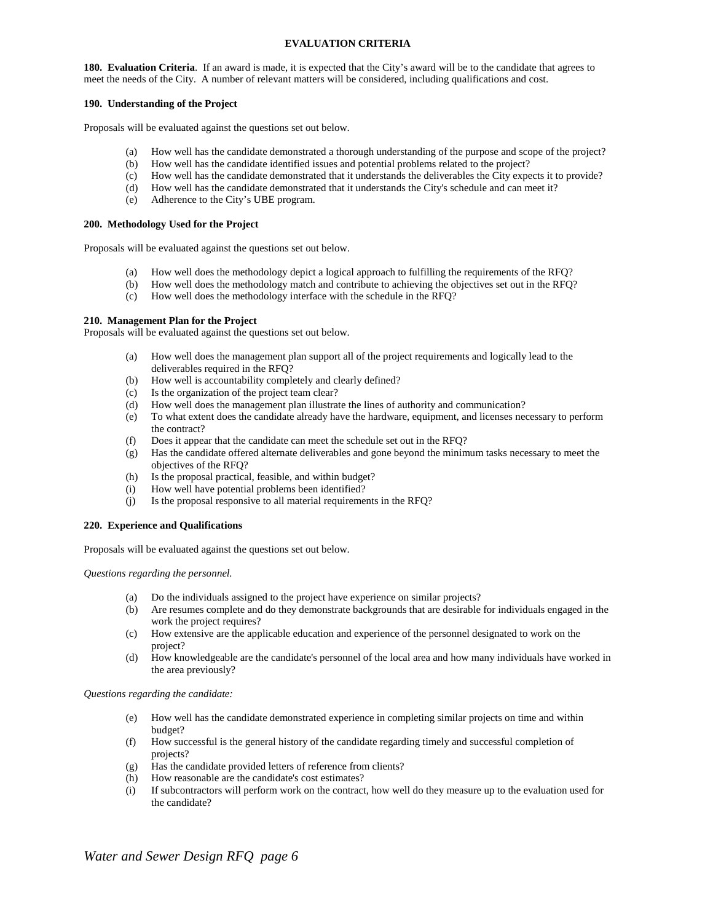#### **EVALUATION CRITERIA**

**180. Evaluation Criteria**. If an award is made, it is expected that the City's award will be to the candidate that agrees to meet the needs of the City. A number of relevant matters will be considered, including qualifications and cost.

#### **190. Understanding of the Project**

Proposals will be evaluated against the questions set out below.

- (a) How well has the candidate demonstrated a thorough understanding of the purpose and scope of the project?
- (b) How well has the candidate identified issues and potential problems related to the project?
- (c) How well has the candidate demonstrated that it understands the deliverables the City expects it to provide?
- (d) How well has the candidate demonstrated that it understands the City's schedule and can meet it?
- (e) Adherence to the City's UBE program.

#### **200. Methodology Used for the Project**

Proposals will be evaluated against the questions set out below.

- (a) How well does the methodology depict a logical approach to fulfilling the requirements of the RFQ?
- (b) How well does the methodology match and contribute to achieving the objectives set out in the RFQ?
- (c) How well does the methodology interface with the schedule in the RFQ?

#### **210. Management Plan for the Project**

Proposals will be evaluated against the questions set out below.

- (a) How well does the management plan support all of the project requirements and logically lead to the deliverables required in the RFQ?
- (b) How well is accountability completely and clearly defined?
- (c) Is the organization of the project team clear?
- (d) How well does the management plan illustrate the lines of authority and communication?
- (e) To what extent does the candidate already have the hardware, equipment, and licenses necessary to perform the contract?
- (f) Does it appear that the candidate can meet the schedule set out in the RFQ?
- (g) Has the candidate offered alternate deliverables and gone beyond the minimum tasks necessary to meet the objectives of the RFQ?
- (h) Is the proposal practical, feasible, and within budget?
- (i) How well have potential problems been identified?
- (j) Is the proposal responsive to all material requirements in the RFQ?

#### **220. Experience and Qualifications**

Proposals will be evaluated against the questions set out below.

*Questions regarding the personnel.*

- (a) Do the individuals assigned to the project have experience on similar projects?
- (b) Are resumes complete and do they demonstrate backgrounds that are desirable for individuals engaged in the work the project requires?
- (c) How extensive are the applicable education and experience of the personnel designated to work on the project?
- (d) How knowledgeable are the candidate's personnel of the local area and how many individuals have worked in the area previously?

*Questions regarding the candidate:*

- (e) How well has the candidate demonstrated experience in completing similar projects on time and within budget?
- (f) How successful is the general history of the candidate regarding timely and successful completion of projects?
- (g) Has the candidate provided letters of reference from clients?
- (h) How reasonable are the candidate's cost estimates?
- (i) If subcontractors will perform work on the contract, how well do they measure up to the evaluation used for the candidate?

*Water and Sewer Design RFQ page 6*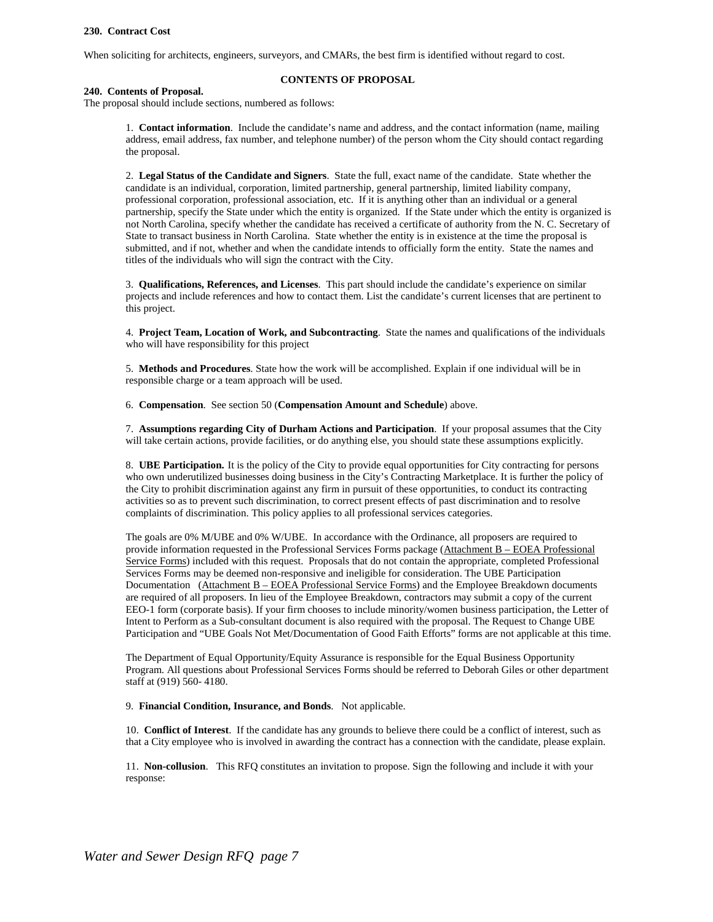#### **230. Contract Cost**

When soliciting for architects, engineers, surveyors, and CMARs, the best firm is identified without regard to cost.

#### **CONTENTS OF PROPOSAL**

#### **240. Contents of Proposal.**

The proposal should include sections, numbered as follows:

1. **Contact information**. Include the candidate's name and address, and the contact information (name, mailing address, email address, fax number, and telephone number) of the person whom the City should contact regarding the proposal.

2. **Legal Status of the Candidate and Signers**. State the full, exact name of the candidate. State whether the candidate is an individual, corporation, limited partnership, general partnership, limited liability company, professional corporation, professional association, etc. If it is anything other than an individual or a general partnership, specify the State under which the entity is organized. If the State under which the entity is organized is not North Carolina, specify whether the candidate has received a certificate of authority from the N. C. Secretary of State to transact business in North Carolina. State whether the entity is in existence at the time the proposal is submitted, and if not, whether and when the candidate intends to officially form the entity. State the names and titles of the individuals who will sign the contract with the City.

3. **Qualifications, References, and Licenses**. This part should include the candidate's experience on similar projects and include references and how to contact them. List the candidate's current licenses that are pertinent to this project.

4. **Project Team, Location of Work, and Subcontracting**. State the names and qualifications of the individuals who will have responsibility for this project

5. **Methods and Procedures**. State how the work will be accomplished. Explain if one individual will be in responsible charge or a team approach will be used.

6. **Compensation**. See section 50 (**Compensation Amount and Schedule**) above.

7. **Assumptions regarding City of Durham Actions and Participation**. If your proposal assumes that the City will take certain actions, provide facilities, or do anything else, you should state these assumptions explicitly.

8. **UBE Participation.** It is the policy of the City to provide equal opportunities for City contracting for persons who own underutilized businesses doing business in the City's Contracting Marketplace. It is further the policy of the City to prohibit discrimination against any firm in pursuit of these opportunities, to conduct its contracting activities so as to prevent such discrimination, to correct present effects of past discrimination and to resolve complaints of discrimination. This policy applies to all professional services categories.

The goals are 0% M/UBE and 0% W/UBE. In accordance with the Ordinance, all proposers are required to provide information requested in the Professional Services Forms package (Attachment B – EOEA Professional Service Forms) included with this request. Proposals that do not contain the appropriate, completed Professional Services Forms may be deemed non-responsive and ineligible for consideration. The UBE Participation Documentation (Attachment B – EOEA Professional Service Forms) and the Employee Breakdown documents are required of all proposers. In lieu of the Employee Breakdown, contractors may submit a copy of the current EEO-1 form (corporate basis). If your firm chooses to include minority/women business participation, the Letter of Intent to Perform as a Sub-consultant document is also required with the proposal. The Request to Change UBE Participation and "UBE Goals Not Met/Documentation of Good Faith Efforts" forms are not applicable at this time.

The Department of Equal Opportunity/Equity Assurance is responsible for the Equal Business Opportunity Program. All questions about Professional Services Forms should be referred to Deborah Giles or other department staff at (919) 560- 4180.

9. **Financial Condition, Insurance, and Bonds**. Not applicable.

10. **Conflict of Interest**. If the candidate has any grounds to believe there could be a conflict of interest, such as that a City employee who is involved in awarding the contract has a connection with the candidate, please explain.

11. **Non-collusion**. This RFQ constitutes an invitation to propose. Sign the following and include it with your response: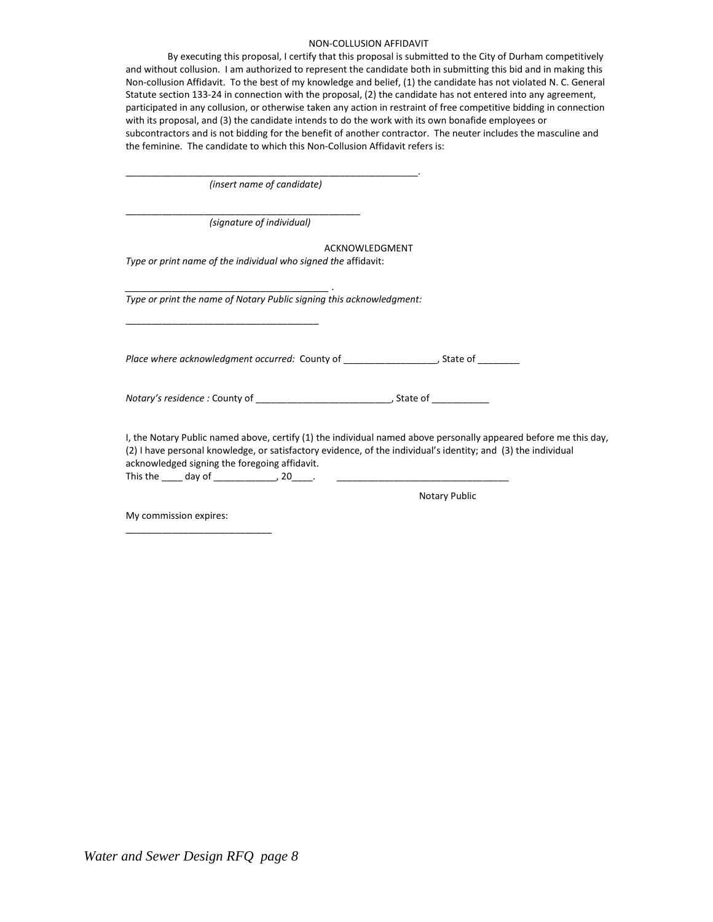#### NON-COLLUSION AFFIDAVIT

By executing this proposal, I certify that this proposal is submitted to the City of Durham competitively and without collusion. I am authorized to represent the candidate both in submitting this bid and in making this Non-collusion Affidavit. To the best of my knowledge and belief, (1) the candidate has not violated N. C. General Statute section 133-24 in connection with the proposal, (2) the candidate has not entered into any agreement, participated in any collusion, or otherwise taken any action in restraint of free competitive bidding in connection with its proposal, and (3) the candidate intends to do the work with its own bonafide employees or subcontractors and is not bidding for the benefit of another contractor. The neuter includes the masculine and the feminine. The candidate to which this Non-Collusion Affidavit refers is:

| (insert name of candidate)                                                                                                                                                                                                                                                                                                                                                                             |
|--------------------------------------------------------------------------------------------------------------------------------------------------------------------------------------------------------------------------------------------------------------------------------------------------------------------------------------------------------------------------------------------------------|
| (signature of individual)                                                                                                                                                                                                                                                                                                                                                                              |
| ACKNOWLEDGMENT                                                                                                                                                                                                                                                                                                                                                                                         |
| Type or print name of the individual who signed the affidavit:                                                                                                                                                                                                                                                                                                                                         |
| Type or print the name of Notary Public signing this acknowledgment:                                                                                                                                                                                                                                                                                                                                   |
|                                                                                                                                                                                                                                                                                                                                                                                                        |
| Place where acknowledgment occurred: County of ________________________, State of __________                                                                                                                                                                                                                                                                                                           |
|                                                                                                                                                                                                                                                                                                                                                                                                        |
| I, the Notary Public named above, certify (1) the individual named above personally appeared before me this day,<br>(2) I have personal knowledge, or satisfactory evidence, of the individual's identity; and (3) the individual<br>acknowledged signing the foregoing affidavit.<br>This the _____ day of _________________, 20_____.<br><u> 1980 - Johann Barn, mars and de Brasilian (b. 1980)</u> |
| <b>Notary Public</b>                                                                                                                                                                                                                                                                                                                                                                                   |

My commission expires:

\_\_\_\_\_\_\_\_\_\_\_\_\_\_\_\_\_\_\_\_\_\_\_\_\_\_\_\_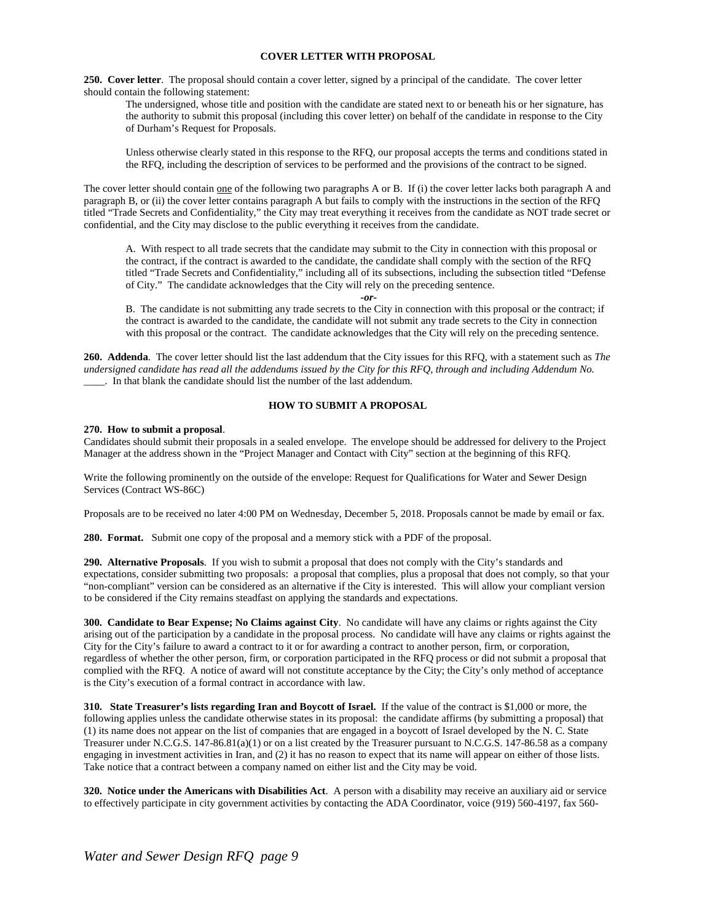#### **COVER LETTER WITH PROPOSAL**

**250. Cover letter**. The proposal should contain a cover letter, signed by a principal of the candidate. The cover letter should contain the following statement:

The undersigned, whose title and position with the candidate are stated next to or beneath his or her signature, has the authority to submit this proposal (including this cover letter) on behalf of the candidate in response to the City of Durham's Request for Proposals.

Unless otherwise clearly stated in this response to the RFQ, our proposal accepts the terms and conditions stated in the RFQ, including the description of services to be performed and the provisions of the contract to be signed.

The cover letter should contain one of the following two paragraphs A or B. If (i) the cover letter lacks both paragraph A and paragraph B, or (ii) the cover letter contains paragraph A but fails to comply with the instructions in the section of the RFQ titled "Trade Secrets and Confidentiality," the City may treat everything it receives from the candidate as NOT trade secret or confidential, and the City may disclose to the public everything it receives from the candidate.

A. With respect to all trade secrets that the candidate may submit to the City in connection with this proposal or the contract, if the contract is awarded to the candidate, the candidate shall comply with the section of the RFQ titled "Trade Secrets and Confidentiality," including all of its subsections, including the subsection titled "Defense of City." The candidate acknowledges that the City will rely on the preceding sentence.

*-or-*

B. The candidate is not submitting any trade secrets to the City in connection with this proposal or the contract; if the contract is awarded to the candidate, the candidate will not submit any trade secrets to the City in connection with this proposal or the contract. The candidate acknowledges that the City will rely on the preceding sentence.

**260. Addenda**. The cover letter should list the last addendum that the City issues for this RFQ, with a statement such as *The undersigned candidate has read all the addendums issued by the City for this RFQ, through and including Addendum No.*  \_\_\_\_. In that blank the candidate should list the number of the last addendum.

#### **HOW TO SUBMIT A PROPOSAL**

#### **270. How to submit a proposal**.

Candidates should submit their proposals in a sealed envelope. The envelope should be addressed for delivery to the Project Manager at the address shown in the "Project Manager and Contact with City" section at the beginning of this RFQ.

Write the following prominently on the outside of the envelope: Request for Qualifications for Water and Sewer Design Services (Contract WS-86C)

Proposals are to be received no later 4:00 PM on Wednesday, December 5, 2018. Proposals cannot be made by email or fax.

**280. Format.** Submit one copy of the proposal and a memory stick with a PDF of the proposal.

**290. Alternative Proposals**. If you wish to submit a proposal that does not comply with the City's standards and expectations, consider submitting two proposals: a proposal that complies, plus a proposal that does not comply, so that your "non-compliant" version can be considered as an alternative if the City is interested. This will allow your compliant version to be considered if the City remains steadfast on applying the standards and expectations.

**300. Candidate to Bear Expense; No Claims against City**. No candidate will have any claims or rights against the City arising out of the participation by a candidate in the proposal process. No candidate will have any claims or rights against the City for the City's failure to award a contract to it or for awarding a contract to another person, firm, or corporation, regardless of whether the other person, firm, or corporation participated in the RFQ process or did not submit a proposal that complied with the RFQ. A notice of award will not constitute acceptance by the City; the City's only method of acceptance is the City's execution of a formal contract in accordance with law.

**310. State Treasurer's lists regarding Iran and Boycott of Israel.** If the value of the contract is \$1,000 or more, the following applies unless the candidate otherwise states in its proposal: the candidate affirms (by submitting a proposal) that (1) its name does not appear on the list of companies that are engaged in a boycott of Israel developed by the N. C. State Treasurer under N.C.G.S. 147-86.81(a)(1) or on a list created by the Treasurer pursuant to N.C.G.S. 147-86.58 as a company engaging in investment activities in Iran, and (2) it has no reason to expect that its name will appear on either of those lists. Take notice that a contract between a company named on either list and the City may be void.

**320. Notice under the Americans with Disabilities Act**. A person with a disability may receive an auxiliary aid or service to effectively participate in city government activities by contacting the ADA Coordinator, voice (919) 560-4197, fax 560